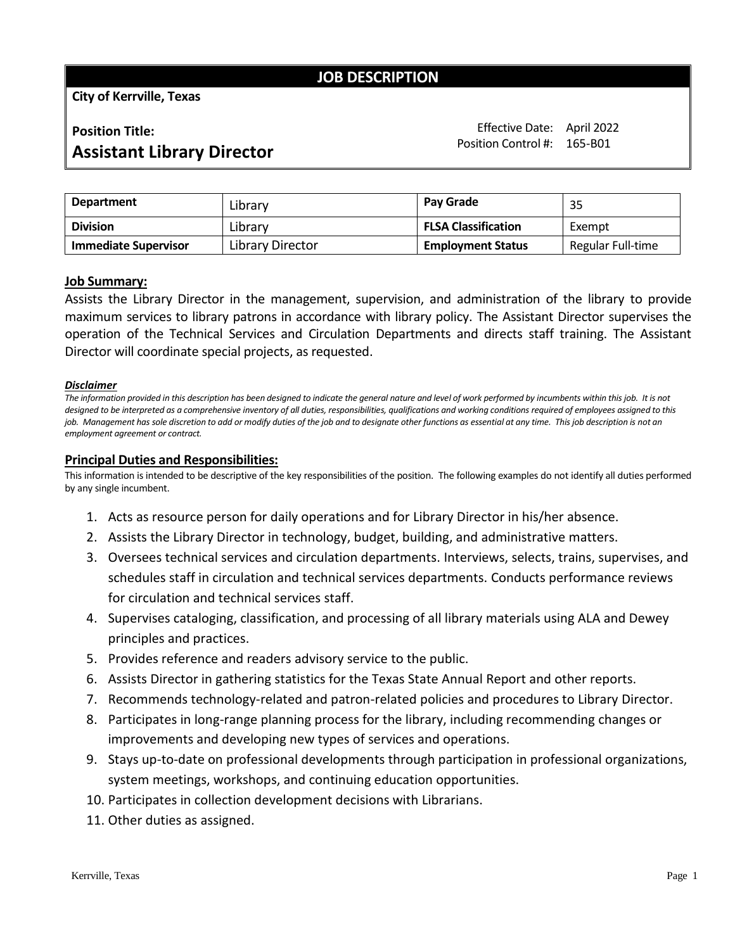# **JOB DESCRIPTION**

**City of Kerrville, Texas**

# **Position Title:**

Effective Date: April 2022 Position Control #: 165-B01

# **Assistant Library Director**

| Department                  | Library          | <b>Pav Grade</b>           | 35                |
|-----------------------------|------------------|----------------------------|-------------------|
| <b>Division</b>             | Library          | <b>FLSA Classification</b> | Exempt            |
| <b>Immediate Supervisor</b> | Library Director | <b>Employment Status</b>   | Regular Full-time |

## **Job Summary:**

Assists the Library Director in the management, supervision, and administration of the library to provide maximum services to library patrons in accordance with library policy. The Assistant Director supervises the operation of the Technical Services and Circulation Departments and directs staff training. The Assistant Director will coordinate special projects, as requested.

#### *Disclaimer*

The information provided in this description has been designed to indicate the general nature and level of work performed by incumbents within this job. It is not designed to be interpreted as a comprehensive inventory of all duties, responsibilities, qualifications and working conditions required of employees assigned to this *job. Management has sole discretion to add or modify duties of the job and to designate other functions as essential at any time. This job description is not an employment agreement or contract.*

#### **Principal Duties and Responsibilities:**

This information is intended to be descriptive of the key responsibilities of the position. The following examples do not identify all duties performed by any single incumbent.

- 1. Acts as resource person for daily operations and for Library Director in his/her absence.
- 2. Assists the Library Director in technology, budget, building, and administrative matters.
- 3. Oversees technical services and circulation departments. Interviews, selects, trains, supervises, and schedules staff in circulation and technical services departments. Conducts performance reviews for circulation and technical services staff.
- 4. Supervises cataloging, classification, and processing of all library materials using ALA and Dewey principles and practices.
- 5. Provides reference and readers advisory service to the public.
- 6. Assists Director in gathering statistics for the Texas State Annual Report and other reports.
- 7. Recommends technology-related and patron-related policies and procedures to Library Director.
- 8. Participates in long-range planning process for the library, including recommending changes or improvements and developing new types of services and operations.
- 9. Stays up-to-date on professional developments through participation in professional organizations, system meetings, workshops, and continuing education opportunities.
- 10. Participates in collection development decisions with Librarians.
- 11. Other duties as assigned.